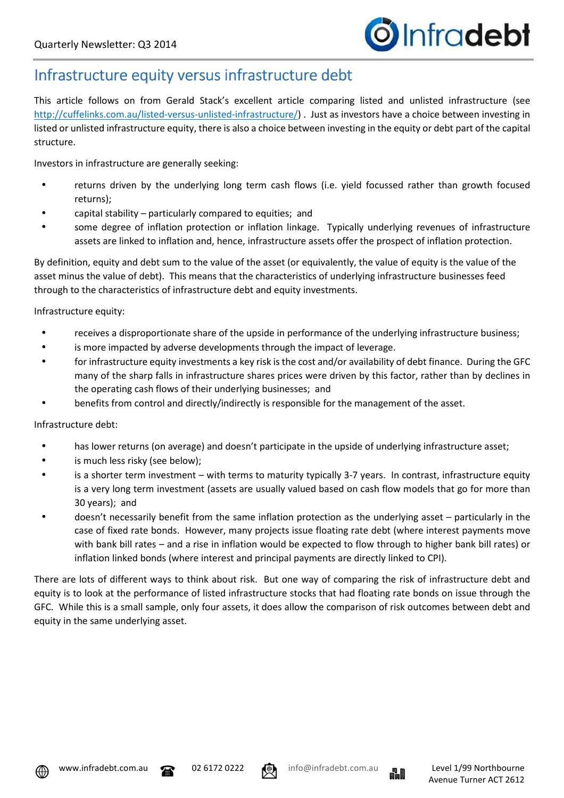## Infrastructure equity versus infrastructure debt

This article follows on from Gerald Stack's excellent article comparing listed and unlisted infrastructure (see http://cuffelinks.com.au/listed-versus-unlisted-infrastructure/) . Just as investors have a choice between investing in listed or unlisted infrastructure equity, there is also a choice between investing in the equity or debt part of the capital structure.

Investors in infrastructure are generally seeking:

- returns driven by the underlying long term cash flows (i.e. yield focussed rather than growth focused returns);
- capital stability particularly compared to equities; and
- some degree of inflation protection or inflation linkage. Typically underlying revenues of infrastructure assets are linked to inflation and, hence, infrastructure assets offer the prospect of inflation protection.

By definition, equity and debt sum to the value of the asset (or equivalently, the value of equity is the value of the asset minus the value of debt). This means that the characteristics of underlying infrastructure businesses feed through to the characteristics of infrastructure debt and equity investments.

Infrastructure equity:

- receives a disproportionate share of the upside in performance of the underlying infrastructure business;
- is more impacted by adverse developments through the impact of leverage.
- for infrastructure equity investments a key risk is the cost and/or availability of debt finance. During the GFC many of the sharp falls in infrastructure shares prices were driven by this factor, rather than by declines in the operating cash flows of their underlying businesses; and
- benefits from control and directly/indirectly is responsible for the management of the asset.

Infrastructure debt:

- has lower returns (on average) and doesn't participate in the upside of underlying infrastructure asset;
- is much less risky (see below);
- is a shorter term investment with terms to maturity typically 3-7 years. In contrast, infrastructure equity is a very long term investment (assets are usually valued based on cash flow models that go for more than 30 years); and
- doesn't necessarily benefit from the same inflation protection as the underlying asset particularly in the case of fixed rate bonds. However, many projects issue floating rate debt (where interest payments move with bank bill rates – and a rise in inflation would be expected to flow through to higher bank bill rates) or inflation linked bonds (where interest and principal payments are directly linked to CPI).

There are lots of different ways to think about risk. But one way of comparing the risk of infrastructure debt and equity is to look at the performance of listed infrastructure stocks that had floating rate bonds on issue through the GFC. While this is a small sample, only four assets, it does allow the comparison of risk outcomes between debt and equity in the same underlying asset.